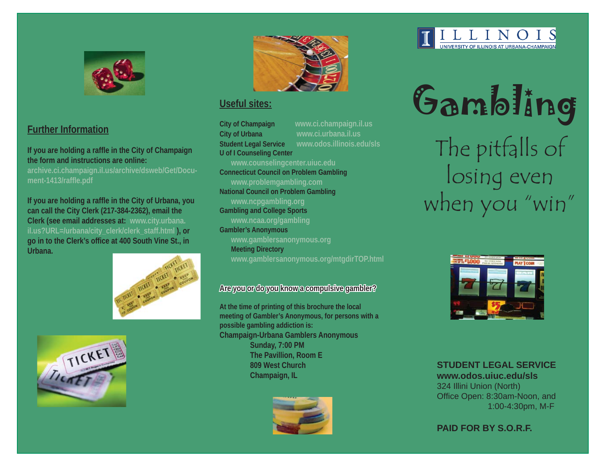

# **Further Information**

**If you are holding a raffle in the City of Champaign the form and instructions are online:**

**archive.ci.champaign.il.us/archive/dsweb/Get/Document-1413/raffl e.pdf**

**If you are holding a raffl e in the City of Urbana, you can call the City Clerk (217-384-2362), email the Clerk (see email addresses at: www.city.urbana. il.us?URL=/urbana/city\_clerk/clerk\_staff.html ), or go in to the Clerk's offi ce at 400 South Vine St., in Urbana.**







# **Useful sites:**

**City of Champaign www.ci.champaign.il.us City of Urbana www.ci.urbana.il.us Student Legal Service www.odos.illinois.edu/sls U of I Counseling Center www.counselingcenter.uiuc.edu Connecticut Council on Problem Gambling www.problemgambling.com National Council on Problem Gambling** 

**www.ncpgambling.org**

**Gambling and College Sports www.ncaa.org/gambling**

**Gambler's Anonymous www.gamblersanonymous.org Meeting Directory** 

**www.gamblersanonymous.org/mtgdirTOP.html**

# Are you or do you know a compulsive gambler?

**At the time of printing of this brochure the local meeting of Gambler's Anonymous, for persons with a possible gambling addiction is: Champaign-Urbana Gamblers Anonymous Sunday, 7:00 PM The Pavillion, Room E 809 West Church Champaign, IL**





Gambling The pitfalls of losing even when you "win"



**STUDENT LEGAL SERVICE**

**www.odos.uiuc.edu/sls**324 Illini Union (North) Office Open: 8:30am-Noon, and 1:00-4:30pm, M-F

**PAID FOR BY S.O.R.F.**